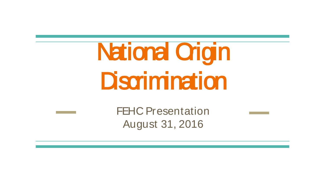# **National Origin Discrimination**

FEHC Presentation August 31, 2016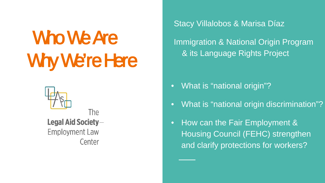# Who We Are Why We're Here



The Legal Aid Society-**Employment Law** Center

Stacy Villalobos & Marisa Díaz

Immigration & National Origin Program & its Language Rights Project

• What is "national origin"?

- What is "national origin discrimination"?
- How can the Fair Employment & Housing Council (FEHC) strengthen and clarify protections for workers?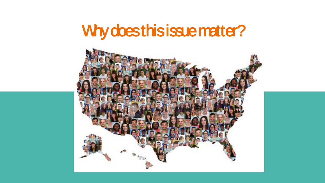#### Why does this issue matter?

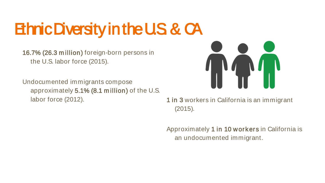#### **Ethnic Diversity in the U.S. & CA**

16.7% (26.3 m illion) foreign-born persons in the U.S. labor force (2015).

Undocumented immigrants compose approximately 5.1% (8.1 m illion) of the U.S. labor force (2012). 1 in 3 workers in California is an immigrant



(2015).

Approximately 1 in 10 workers in California is an undocumented immigrant.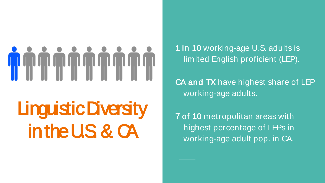# <u> The Literature of Literature of Literature of Literature of Literature of Literature of Literature of Literature</u>

### Linguistic Diversity in the U.S. & CA

1 in 10 working-age U.S. adults is limited English proficient (LEP).

CA and TX have highest share of LEP working-age adults.

7 of 10 metropolitan areas with highest percentage of LEPs in working-age adult pop. in CA.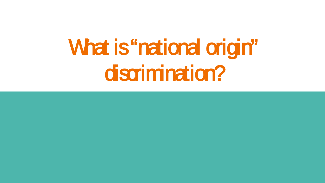# What is "national origin" discrimination?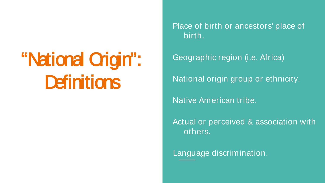#### "National Origin": **Definitions**

Place of birth or ancestors' place of birth.

Geographic region (i.e. Africa)

National origin group or ethnicity.

Native American tribe.

Actual or perceived & association with others.

Language discrimination.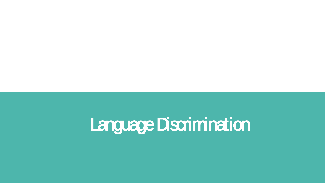### Language Discrimination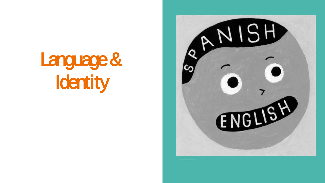

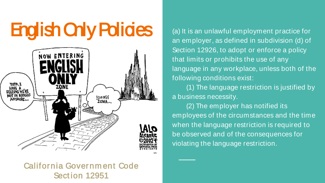### English Only Policies (a) It is an unlawful employment practice for



California Governm ent Code Sect ion 12951

an employer, as defined in subdivision (d) of Section 12926, to adopt or enforce a policy that limits or prohibits the use of any language in any workplace, unless both of the following conditions exist:

(1) The language restriction is justified by a business necessity.

(2) The employer has notified its employees of the circumstances and the time when the language restriction is required to be observed and of the consequences for violating the language restriction.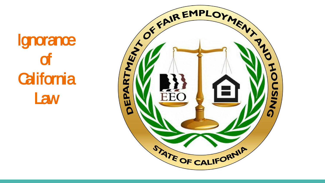**Ignorance** of **California Law** 

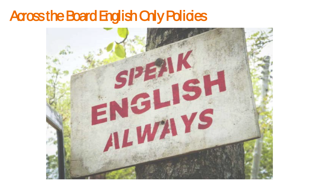#### Across the Board English Only Policies

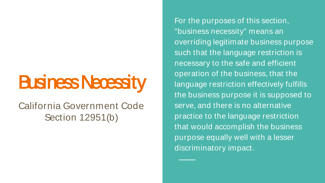#### **Business Necessity**

#### California Government Code Section 12951(b)

For the purposes of this section, "business necessity" means an overriding legitimate business purpose such that the language restriction is necessary to the safe and efficient operation of the business, that the language restriction effectively fulfills the business purpose it is supposed to serve, and there is no alternative practice to the language restriction that would accomplish the business purpose equally well with a lesser discriminatory impact.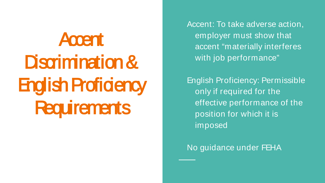## **Accent** Discrimination & **English Proficiency Requirements**

Accent: To take adverse action, employer must show that accent "materially interferes with job performance"

English Proficiency: Permissible only if required for the effective performance of the position for which it is imposed

No guidance under FEHA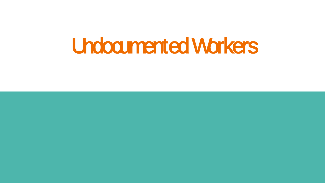#### Undocumented Workers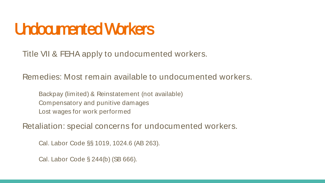#### Undocumented Workers

Title VII & FEHA apply to undocumented workers.

Remedies: Most remain available to undocumented workers.

Backpay (limited) & Reinstatement (not available) Compensatory and punitive damages Lost wages for work performed

Retaliation: special concerns for undocumented workers.

Cal. Labor Code §§ 1019, 1024.6 (AB 263).

Cal. Labor Code § 244(b) (SB 666).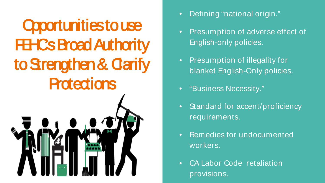Opportunities to use **FEHCs Broad Authority** to Strengthen & Carify **Protections** 



- Defining "national origin."
- Presumption of adverse effect of English-only policies.
- Presumption of illegality for blanket English-Only policies.
- "Business Necessity."
- Standard for accent/proficiency requirements.
- Remedies for undocumented workers.
- CA Labor Code retaliation provisions.